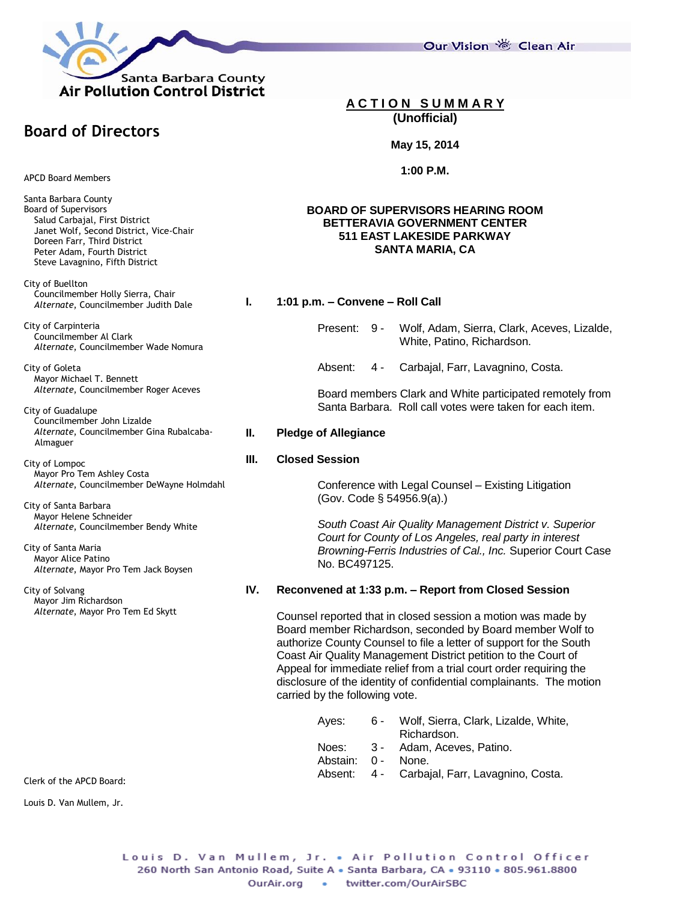

Our Vision 卷 Clean Air

## **A C T I O N S U M M A R Y (Unofficial)**

#### **May 15, 2014**

**1:00 P.M.**

## **BOARD OF SUPERVISORS HEARING ROOM BETTERAVIA GOVERNMENT CENTER 511 EAST LAKESIDE PARKWAY SANTA MARIA, CA**

#### **I. 1:01 p.m. – Convene – Roll Call**

- Present: 9 Wolf, Adam, Sierra, Clark, Aceves, Lizalde, White, Patino, Richardson.
- Absent: 4 Carbajal, Farr, Lavagnino, Costa.

Board members Clark and White participated remotely from Santa Barbara. Roll call votes were taken for each item.

#### **II. Pledge of Allegiance**

#### **III. Closed Session**

Conference with Legal Counsel – Existing Litigation (Gov. Code § 54956.9(a).)

*South Coast Air Quality Management District v. Superior Court for County of Los Angeles, real party in interest Browning-Ferris Industries of Cal., Inc.* Superior Court Case No. BC497125.

## **IV. Reconvened at 1:33 p.m. – Report from Closed Session**

Counsel reported that in closed session a motion was made by Board member Richardson, seconded by Board member Wolf to authorize County Counsel to file a letter of support for the South Coast Air Quality Management District petition to the Court of Appeal for immediate relief from a trial court order requiring the disclosure of the identity of confidential complainants. The motion carried by the following vote.

| Aves: | հ - | Wolf, Sierra, Clark, Lizalde, White, |
|-------|-----|--------------------------------------|
|       |     | Richardson.                          |
| Noes: |     | 3 - Adam, Aceves, Patino.            |

- Abstain: 0 None.
	-
- Absent: 4 Carbajal, Farr, Lavagnino, Costa.

APCD Board Members

**Board of Directors**

Santa Barbara County Board of Supervisors Salud Carbajal, First District Janet Wolf, Second District, Vice-Chair Doreen Farr, Third District Peter Adam, Fourth District Steve Lavagnino, Fifth District

City of Buellton Councilmember Holly Sierra, Chair *Alternate*, Councilmember Judith Dale

City of Carpinteria Councilmember Al Clark *Alternate*, Councilmember Wade Nomura

City of Goleta Mayor Michael T. Bennett *Alternate*, Councilmember Roger Aceves

City of Guadalupe Councilmember John Lizalde *Alternate*, Councilmember Gina Rubalcaba- Almaguer

City of Lompoc Mayor Pro Tem Ashley Costa *Alternate*, Councilmember DeWayne Holmdahl

City of Santa Barbara Mayor Helene Schneider *Alternate*, Councilmember Bendy White

City of Santa Maria Mayor Alice Patino *Alternate*, Mayor Pro Tem Jack Boysen

City of Solvang Mayor Jim Richardson *Alternate*, Mayor Pro Tem Ed Skytt

Clerk of the APCD Board:

Louis D. Van Mullem, Jr.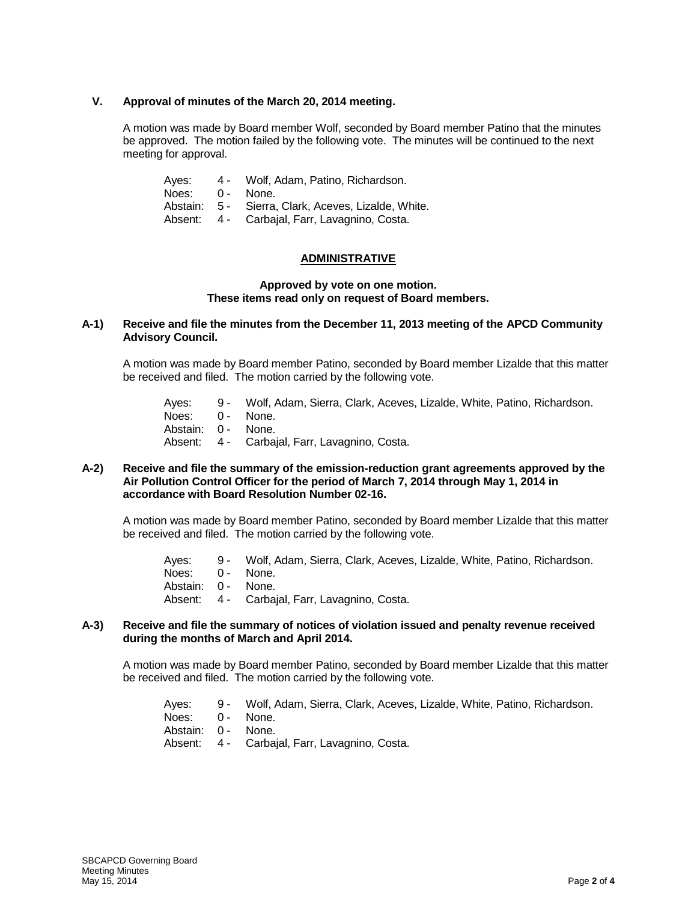## **V. Approval of minutes of the March 20, 2014 meeting.**

A motion was made by Board member Wolf, seconded by Board member Patino that the minutes be approved. The motion failed by the following vote. The minutes will be continued to the next meeting for approval.

| Aves: | 4 -        | Wolf, Adam, Patino, Richardson.                     |
|-------|------------|-----------------------------------------------------|
| Noes: | $\Omega$ - | None.                                               |
|       |            | Abstain: 5 - Sierra, Clark, Aceves, Lizalde, White. |
|       |            | Absent: 4 - Carbajal, Farr, Lavagnino, Costa.       |

# **ADMINISTRATIVE**

## **Approved by vote on one motion. These items read only on request of Board members.**

# **A-1) Receive and file the minutes from the December 11, 2013 meeting of the APCD Community Advisory Council.**

A motion was made by Board member Patino, seconded by Board member Lizalde that this matter be received and filed. The motion carried by the following vote.

| Ayes: 9 - Wolf, Adam, Sierra, Clark, Aceves, Lizalde, White, Patino, Richardson. |
|----------------------------------------------------------------------------------|
| Noes: 0 - None.                                                                  |
| Abstain: 0 - None.                                                               |
| Absent: 4 - Carbaial, Farr, Lavagnino, Costa.                                    |
|                                                                                  |

#### **A-2) Receive and file the summary of the emission-reduction grant agreements approved by the Air Pollution Control Officer for the period of March 7, 2014 through May 1, 2014 in accordance with Board Resolution Number 02-16.**

A motion was made by Board member Patino, seconded by Board member Lizalde that this matter be received and filed. The motion carried by the following vote.

- Ayes: 9 Wolf, Adam, Sierra, Clark, Aceves, Lizalde, White, Patino, Richardson.
- Noes: 0 None.
- Abstain: 0 None.
- Absent: 4 Carbajal, Farr, Lavagnino, Costa.

#### **A-3) Receive and file the summary of notices of violation issued and penalty revenue received during the months of March and April 2014.**

A motion was made by Board member Patino, seconded by Board member Lizalde that this matter be received and filed. The motion carried by the following vote.

- Ayes: 9 Wolf, Adam, Sierra, Clark, Aceves, Lizalde, White, Patino, Richardson.
- Noes: 0 None. Abstain: 0 - None.
- Absent: 4 Carbajal, Farr, Lavagnino, Costa.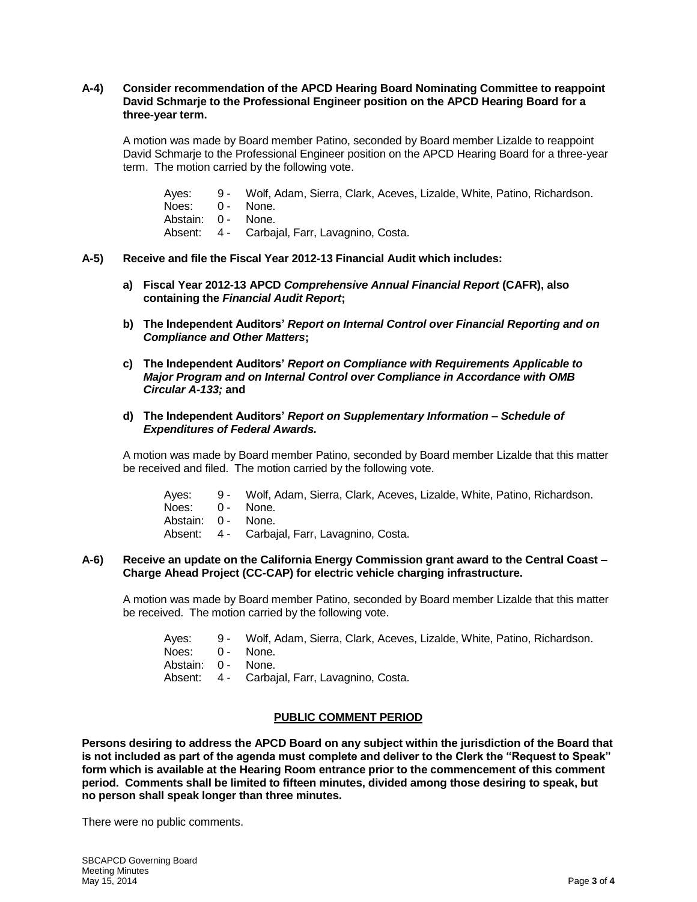## **A-4) Consider recommendation of the APCD Hearing Board Nominating Committee to reappoint David Schmarje to the Professional Engineer position on the APCD Hearing Board for a three-year term.**

A motion was made by Board member Patino, seconded by Board member Lizalde to reappoint David Schmarje to the Professional Engineer position on the APCD Hearing Board for a three-year term. The motion carried by the following vote.

- Ayes: 9 Wolf, Adam, Sierra, Clark, Aceves, Lizalde, White, Patino, Richardson.
- Noes: 0 None.
- Abstain: 0 None.
- Absent: 4 Carbajal, Farr, Lavagnino, Costa.

## **A-5) Receive and file the Fiscal Year 2012-13 Financial Audit which includes:**

- **a) Fiscal Year 2012-13 APCD** *Comprehensive Annual Financial Report* **(CAFR), also containing the** *Financial Audit Report***;**
- **b) The Independent Auditors'** *Report on Internal Control over Financial Reporting and on Compliance and Other Matters***;**
- **c) The Independent Auditors'** *Report on Compliance with Requirements Applicable to Major Program and on Internal Control over Compliance in Accordance with OMB Circular A-133;* **and**

## **d) The Independent Auditors'** *Report on Supplementary Information – Schedule of Expenditures of Federal Awards.*

A motion was made by Board member Patino, seconded by Board member Lizalde that this matter be received and filed. The motion carried by the following vote.

- Ayes: 9 Wolf, Adam, Sierra, Clark, Aceves, Lizalde, White, Patino, Richardson.
- Noes: 0 None.
- Abstain: 0 None.
- Absent: 4 Carbajal, Farr, Lavagnino, Costa.

## **A-6) Receive an update on the California Energy Commission grant award to the Central Coast – Charge Ahead Project (CC-CAP) for electric vehicle charging infrastructure.**

A motion was made by Board member Patino, seconded by Board member Lizalde that this matter be received. The motion carried by the following vote.

- Ayes: 9 Wolf, Adam, Sierra, Clark, Aceves, Lizalde, White, Patino, Richardson.
- Noes: 0 None.
- Abstain: 0 None.
- Absent: 4 Carbajal, Farr, Lavagnino, Costa.

## **PUBLIC COMMENT PERIOD**

**Persons desiring to address the APCD Board on any subject within the jurisdiction of the Board that is not included as part of the agenda must complete and deliver to the Clerk the "Request to Speak" form which is available at the Hearing Room entrance prior to the commencement of this comment period. Comments shall be limited to fifteen minutes, divided among those desiring to speak, but no person shall speak longer than three minutes.**

There were no public comments.